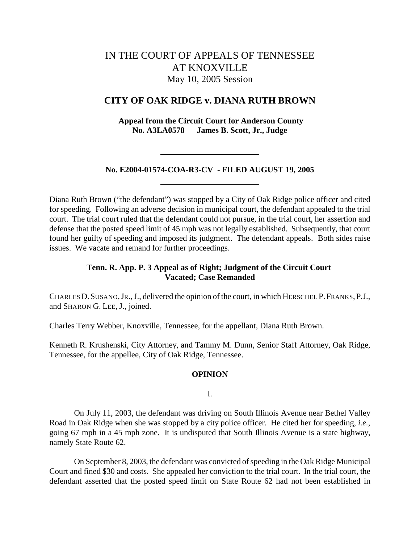# IN THE COURT OF APPEALS OF TENNESSEE AT KNOXVILLE May 10, 2005 Session

# **CITY OF OAK RIDGE v. DIANA RUTH BROWN**

 **Appeal from the Circuit Court for Anderson County No. A3LA0578 James B. Scott, Jr., Judge**

#### **No. E2004-01574-COA-R3-CV - FILED AUGUST 19, 2005**

Diana Ruth Brown ("the defendant") was stopped by a City of Oak Ridge police officer and cited for speeding. Following an adverse decision in municipal court, the defendant appealed to the trial court. The trial court ruled that the defendant could not pursue, in the trial court, her assertion and defense that the posted speed limit of 45 mph was not legally established. Subsequently, that court found her guilty of speeding and imposed its judgment. The defendant appeals. Both sides raise issues. We vacate and remand for further proceedings.

# **Tenn. R. App. P. 3 Appeal as of Right; Judgment of the Circuit Court Vacated; Case Remanded**

CHARLES D.SUSANO,JR.,J., delivered the opinion of the court, in which HERSCHEL P.FRANKS,P.J., and SHARON G. LEE, J., joined.

Charles Terry Webber, Knoxville, Tennessee, for the appellant, Diana Ruth Brown.

Kenneth R. Krushenski, City Attorney, and Tammy M. Dunn, Senior Staff Attorney, Oak Ridge, Tennessee, for the appellee, City of Oak Ridge, Tennessee.

#### **OPINION**

I.

On July 11, 2003, the defendant was driving on South Illinois Avenue near Bethel Valley Road in Oak Ridge when she was stopped by a city police officer. He cited her for speeding, *i.e.*, going 67 mph in a 45 mph zone. It is undisputed that South Illinois Avenue is a state highway, namely State Route 62.

On September 8, 2003, the defendant was convicted of speeding in the Oak Ridge Municipal Court and fined \$30 and costs. She appealed her conviction to the trial court. In the trial court, the defendant asserted that the posted speed limit on State Route 62 had not been established in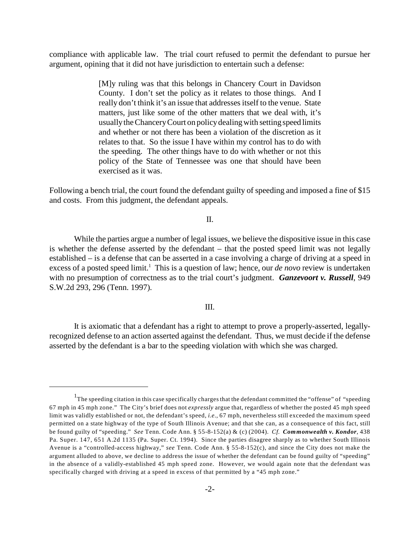compliance with applicable law. The trial court refused to permit the defendant to pursue her argument, opining that it did not have jurisdiction to entertain such a defense:

> [M]y ruling was that this belongs in Chancery Court in Davidson County. I don't set the policy as it relates to those things. And I really don't think it's an issue that addresses itself to the venue. State matters, just like some of the other matters that we deal with, it's usually the Chancery Court on policy dealing with setting speed limits and whether or not there has been a violation of the discretion as it relates to that. So the issue I have within my control has to do with the speeding. The other things have to do with whether or not this policy of the State of Tennessee was one that should have been exercised as it was.

Following a bench trial, the court found the defendant guilty of speeding and imposed a fine of \$15 and costs. From this judgment, the defendant appeals.

II.

While the parties argue a number of legal issues, we believe the dispositive issue in this case is whether the defense asserted by the defendant – that the posted speed limit was not legally established – is a defense that can be asserted in a case involving a charge of driving at a speed in excess of a posted speed limit.<sup>1</sup> This is a question of law; hence, our *de novo* review is undertaken with no presumption of correctness as to the trial court's judgment. *Ganzevoort v. Russell*, 949 S.W.2d 293, 296 (Tenn. 1997).

#### III.

It is axiomatic that a defendant has a right to attempt to prove a properly-asserted, legallyrecognized defense to an action asserted against the defendant. Thus, we must decide if the defense asserted by the defendant is a bar to the speeding violation with which she was charged.

 $1$ The speeding citation in this case specifically charges that the defendant committed the "offense" of "speeding 67 mph in 45 mph zone." The City's brief does not *expressly* argue that, regardless of whether the posted 45 mph speed limit was validly established or not, the defendant's speed, *i.e.*, 67 mph, nevertheless still exceeded the maximum speed permitted on a state highway of the type of South Illinois Avenue; and that she can, as a consequence of this fact, still be found guilty of "speeding." *See* Tenn. Code Ann. § 55-8-152(a) & (c) (2004). *Cf. Commonwealth v. Kondor*, 438 Pa. Super. 147, 651 A.2d 1135 (Pa. Super. Ct. 1994). Since the parties disagree sharply as to whether South Illinois Avenue is a "controlled-access highway," *see* Tenn. Code Ann. § 55-8-152(c), and since the City does not make the argument alluded to above, we decline to address the issue of whether the defendant can be found guilty of "speeding" in the absence of a validly-established 45 mph speed zone. However, we would again note that the defendant was specifically charged with driving at a speed in excess of that permitted by a "45 mph zone."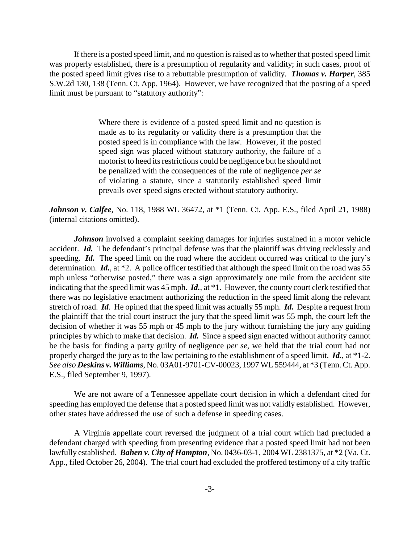If there is a posted speed limit, and no question is raised as to whether that posted speed limit was properly established, there is a presumption of regularity and validity; in such cases, proof of the posted speed limit gives rise to a rebuttable presumption of validity. *Thomas v. Harper*, 385 S.W.2d 130, 138 (Tenn. Ct. App. 1964). However, we have recognized that the posting of a speed limit must be pursuant to "statutory authority":

> Where there is evidence of a posted speed limit and no question is made as to its regularity or validity there is a presumption that the posted speed is in compliance with the law. However, if the posted speed sign was placed without statutory authority, the failure of a motorist to heed its restrictions could be negligence but he should not be penalized with the consequences of the rule of negligence *per se* of violating a statute, since a statutorily established speed limit prevails over speed signs erected without statutory authority.

*Johnson v. Calfee*, No. 118, 1988 WL 36472, at \*1 (Tenn. Ct. App. E.S., filed April 21, 1988) (internal citations omitted).

*Johnson* involved a complaint seeking damages for injuries sustained in a motor vehicle accident. *Id.* The defendant's principal defense was that the plaintiff was driving recklessly and speeding. *Id.* The speed limit on the road where the accident occurred was critical to the jury's determination. *Id.*, at \*2. A police officer testified that although the speed limit on the road was 55 mph unless "otherwise posted," there was a sign approximately one mile from the accident site indicating that the speed limit was 45 mph. *Id.*, at \*1. However, the county court clerk testified that there was no legislative enactment authorizing the reduction in the speed limit along the relevant stretch of road. *Id*. He opined that the speed limit was actually 55 mph. *Id.* Despite a request from the plaintiff that the trial court instruct the jury that the speed limit was 55 mph, the court left the decision of whether it was 55 mph or 45 mph to the jury without furnishing the jury any guiding principles by which to make that decision. *Id.* Since a speed sign enacted without authority cannot be the basis for finding a party guilty of negligence *per se*, we held that the trial court had not properly charged the jury as to the law pertaining to the establishment of a speed limit. *Id.*, at \*1-2. *See also Deskins v. Williams*, No. 03A01-9701-CV-00023, 1997 WL 559444, at \*3 (Tenn. Ct. App. E.S., filed September 9, 1997).

We are not aware of a Tennessee appellate court decision in which a defendant cited for speeding has employed the defense that a posted speed limit was not validly established. However, other states have addressed the use of such a defense in speeding cases.

A Virginia appellate court reversed the judgment of a trial court which had precluded a defendant charged with speeding from presenting evidence that a posted speed limit had not been lawfully established. *Bahen v. City of Hampton*, No. 0436-03-1, 2004 WL 2381375, at \*2 (Va. Ct. App., filed October 26, 2004). The trial court had excluded the proffered testimony of a city traffic